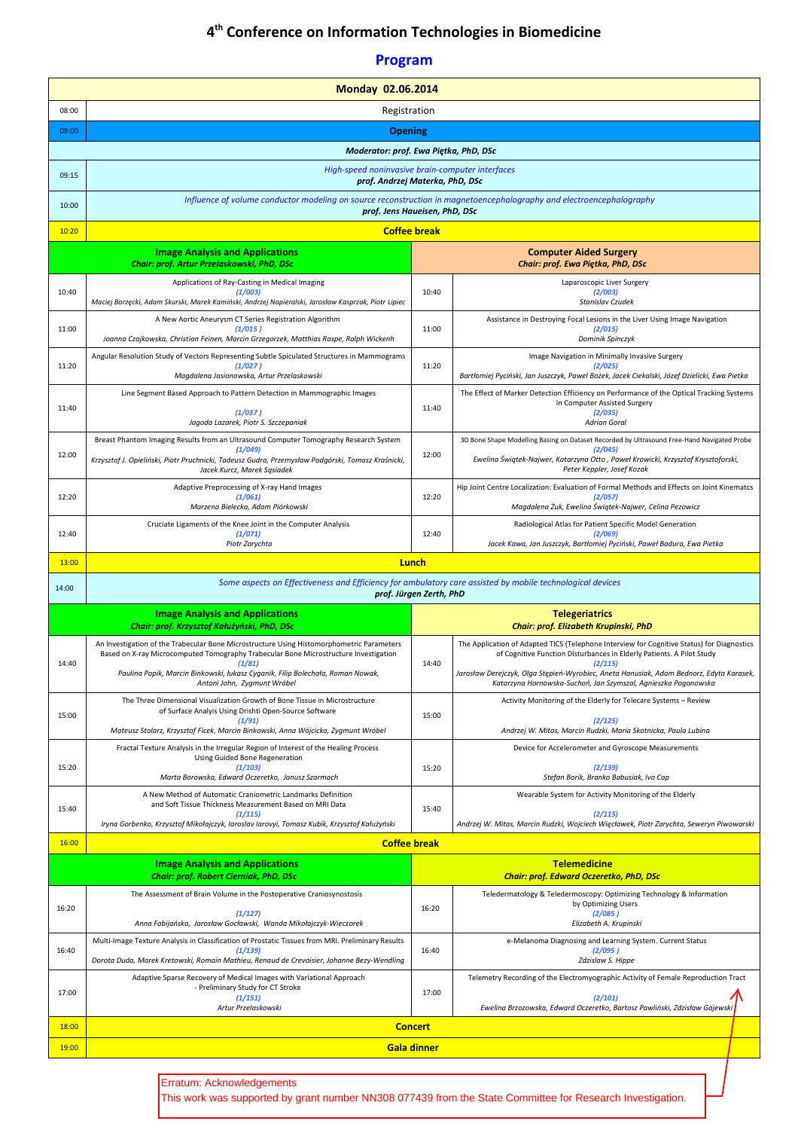## **4 th Conference on Information Technologies in Biomedicine**

## **Program**

|                           | Monday 02.06.2014                                                                                                                                                                           |                         |                                                                                                                                                                                |  |  |
|---------------------------|---------------------------------------------------------------------------------------------------------------------------------------------------------------------------------------------|-------------------------|--------------------------------------------------------------------------------------------------------------------------------------------------------------------------------|--|--|
| 08:00                     | Registration                                                                                                                                                                                |                         |                                                                                                                                                                                |  |  |
| 09:00                     | <b>Opening</b>                                                                                                                                                                              |                         |                                                                                                                                                                                |  |  |
|                           | Moderator: prof. Ewa Piętka, PhD, DSc                                                                                                                                                       |                         |                                                                                                                                                                                |  |  |
| 09:15                     | High-speed noninvasive brain-computer interfaces<br>prof. Andrzej Materka, PhD, DSc                                                                                                         |                         |                                                                                                                                                                                |  |  |
| 10:00                     | Influence of volume conductor modeling on source reconstruction in magnetoencephalography and electroencephalography<br>prof. Jens Haueisen, PhD, DSc                                       |                         |                                                                                                                                                                                |  |  |
| 10:20                     |                                                                                                                                                                                             | <b>Coffee break</b>     |                                                                                                                                                                                |  |  |
|                           | <b>Image Analysis and Applications</b>                                                                                                                                                      |                         | <b>Computer Aided Surgery</b>                                                                                                                                                  |  |  |
|                           | Chair: prof. Artur Przelaskowski, PhD, DSc                                                                                                                                                  |                         | Chair: prof. Ewa Piętka, PhD, DSc                                                                                                                                              |  |  |
| 10:40                     | Applications of Ray-Casting in Medical Imaging<br>(1/003)<br>Maciej Borzęcki, Adam Skurski, Marek Kamiński, Andrzej Napieralski, Jarosław Kasprzak, Piotr Lipiec                            | 10:40                   | Laparoscopic Liver Surgery<br>(2/003)<br>Stanislav Czudek                                                                                                                      |  |  |
|                           | A New Aortic Aneurysm CT Series Registration Algorithm                                                                                                                                      |                         | Assistance in Destroying Focal Lesions in the Liver Using Image Navigation                                                                                                     |  |  |
| 11:00                     | (1/015)<br>Joanna Czajkowska, Christian Feinen, Marcin Grzegorzek, Matthias Raspe, Ralph Wickenh                                                                                            | 11:00                   | (2/015)<br>Dominik Spinczyk                                                                                                                                                    |  |  |
| 11:20                     | Angular Resolution Study of Vectors Representing Subtle Spiculated Structures in Mammograms<br>(1/027)<br>Magdalena Jasionowska, Artur Przelaskowski                                        | 11:20                   | Image Navigation in Minimally Invasive Surgery<br>(2/025)<br>Bartłomiej Pyciński, Jan Juszczyk, Pawel Bożek, Jacek Ciekalski, Józef Dzielicki, Ewa Pietka                      |  |  |
|                           | Line Segment Based Approach to Pattern Detection in Mammographic Images                                                                                                                     |                         | The Effect of Marker Detection Efficiency on Performance of the Optical Tracking Systems                                                                                       |  |  |
| 11:40                     | (1/037)<br>Jagoda Lazarek, Piotr S. Szczepaniak                                                                                                                                             | 11:40                   | in Computer Assisted Surgery<br>(2/035)<br><b>Adrian Goral</b>                                                                                                                 |  |  |
|                           | Breast Phantom Imaging Results from an Ultrasound Computer Tomography Research System                                                                                                       |                         | 3D Bone Shape Modelling Basing on Dataset Recorded by Ultrasound Free-Hand Navigated Probe                                                                                     |  |  |
| 12:00                     | (1/049)<br>Krzysztof J. Opieliński, Piotr Pruchnicki, Tadeusz Gudra, Przemysław Podgórski, Tomasz Kraśnicki,<br>Jacek Kurcz, Marek Sąsiadek                                                 | 12:00                   | (2/045)<br>Ewelina Świątek-Najwer, Katarzyna Otto, Paweł Krowicki, Krzysztof Krysztoforski,<br>Peter Keppler, Josef Kozak                                                      |  |  |
| 12:20                     | Adaptive Preprocessing of X-ray Hand Images<br>(1/061)<br>Marzena Bielecka, Adam Piórkowski                                                                                                 | 12:20                   | Hip Joint Centre Localization: Evaluation of Formal Methods and Effects on Joint Kinematcs<br>(2/057)<br>Magdalena Żuk, Ewelina Świątek-Najwer, Celina Pezowicz                |  |  |
|                           | Cruciate Ligaments of the Knee Joint in the Computer Analysis                                                                                                                               |                         | Radiological Atlas for Patient Specific Model Generation                                                                                                                       |  |  |
| 12:40                     | (1/071)<br>Piotr Zarychta                                                                                                                                                                   | 12:40                   | (2/069)<br>Jacek Kawa, Jan Juszczyk, Bartłomiej Pyciński, Paweł Badura, Ewa Pietka                                                                                             |  |  |
| 13:00                     |                                                                                                                                                                                             | Lunch                   |                                                                                                                                                                                |  |  |
| 14:00                     | Some aspects on Effectiveness and Efficiency for ambulatory care assisted by mobile technological devices                                                                                   | prof. Jürgen Zerth, PhD |                                                                                                                                                                                |  |  |
|                           | <b>Image Analysis and Applications</b>                                                                                                                                                      |                         | <b>Telegeriatrics</b>                                                                                                                                                          |  |  |
|                           | Chair: prof. Krzysztof Kałużyński, PhD, DSc                                                                                                                                                 |                         | Chair: prof. Elizabeth Krupinski, PhD                                                                                                                                          |  |  |
| 14:40                     | An Investigation of the Trabecular Bone Microstructure Using Histomorphometric Parameters<br>Based on X-ray Microcomputed Tomography Trabecular Bone Microstructure Investigation<br>(1/81) | 14:40                   | The Application of Adapted TICS (Telephone Interview for Cognitive Status) for Diagnostics<br>of Cognitive Function Disturbances in Elderly Patients. A Pilot Study<br>(2/115) |  |  |
|                           | Paulina Popik, Marcin Binkowski, łukasz Cyganik, Filip Bolechała, Roman Nowak,<br>Antoni John, Zygmunt Wróbel                                                                               |                         | Jarosław Derejczyk, Olga Stępień-Wyrobiec, Aneta Hanusiak, Adam Bednorz, Edyta Karasek,<br>Katarzyna Hornowska-Suchoń, Jan Szymszal, Agnieszka Pogonowska                      |  |  |
| 15:00                     | The Three Dimensional Visualization Growth of Bone Tissue in Microstructure<br>of Surface Analyis Using Drishti Open-Source Software                                                        |                         | Activity Monitoring of the Elderly for Telecare Systems - Review                                                                                                               |  |  |
|                           | (1/91)<br>Mateusz Stolarz, Krzysztof Ficek, Marcin Binkowski, Anna Wójcicka, Zygmunt Wróbel                                                                                                 |                         | (2/125)<br>Andrzej W. Mitas, Marcin Rudzki, Maria Skotnicka, Paula Lubina                                                                                                      |  |  |
|                           | Fractal Texture Analysis in the Irregular Region of Interest of the Healing Process<br>Using Guided Bone Regeneration                                                                       | 15:00<br>15:20          | Device for Accelerometer and Gyroscope Measurements                                                                                                                            |  |  |
| 15:20                     | (1/103)<br>Marta Borowska, Edward Oczeretko, Janusz Szarmach                                                                                                                                |                         | (2/139)<br>Stefan Borik, Branko Babusiak, Ivo Cap                                                                                                                              |  |  |
|                           | A New Method of Automatic Craniometric Landmarks Definition<br>and Soft Tissue Thickness Measurement Based on MRI Data                                                                      |                         | Wearable System for Activity Monitoring of the Elderly                                                                                                                         |  |  |
| 15:40                     | (1/115)<br>Iryna Gorbenko, Krzysztof Mikołajczyk, Iaroslav Iarovyi, Tomasz Kubik, Krzysztof Kałużyński                                                                                      | 15:40                   | (2/115)<br>Andrzej W. Mitas, Marcin Rudzki, Wojciech Więcławek, Piotr Zarychta, Seweryn Piwowarski                                                                             |  |  |
| 16:00                     |                                                                                                                                                                                             | <b>Coffee break</b>     |                                                                                                                                                                                |  |  |
|                           | <b>Image Analysis and Applications</b><br>Chair: prof. Robert Cierniak, PhD, DSc                                                                                                            |                         | <b>Telemedicine</b><br>Chair: prof. Edward Oczeretko, PhD, DSc                                                                                                                 |  |  |
|                           | The Assessment of Brain Volume in the Postoperative Craniosynostosis                                                                                                                        |                         | Teledermatology & Teledermoscopy: Optimizing Technology & Information                                                                                                          |  |  |
| 16:20                     | (1/127)<br>Anna Fabijańska, Jarosław Gocławski, Wanda Mikołajczyk-Wieczorek                                                                                                                 | 16:20                   | by Optimizing Users<br>(2/085)<br>Elizabeth A. Krupinski                                                                                                                       |  |  |
|                           | Multi-Image Texture Analysis in Classification of Prostatic Tissues from MRI. Preliminary Results                                                                                           |                         | e-Melanoma Diagnosing and Learning System. Current Status                                                                                                                      |  |  |
| 16:40                     | (1/139)<br>Dorota Duda, Marek Kretowski, Romain Mathieu, Renaud de Crevoisier, Johanne Bezy-Wendling                                                                                        | 16:40                   | (2/095)<br>Zdzislaw S. Hippe                                                                                                                                                   |  |  |
| 17:00                     | Adaptive Sparse Recovery of Medical Images with Variational Approach<br>- Preliminary Study for CT Stroke<br>(1/151)                                                                        | 17:00                   | Telemetry Recording of the Electromyographic Activity of Female Reproduction Tract<br>(2/101)                                                                                  |  |  |
|                           | Artur Przelaskowski                                                                                                                                                                         |                         | Ewelina Brzozowska, Edward Oczeretko, Bartosz Pawliński, Zdzisław Gajewski                                                                                                     |  |  |
| 18:00                     | <b>Concert</b>                                                                                                                                                                              |                         |                                                                                                                                                                                |  |  |
| 19:00                     | Gala dinner                                                                                                                                                                                 |                         |                                                                                                                                                                                |  |  |
| Erratum: Acknowledgements |                                                                                                                                                                                             |                         |                                                                                                                                                                                |  |  |

This work was supported by grant number NN308 077439 from the State Committee for Research Investigation.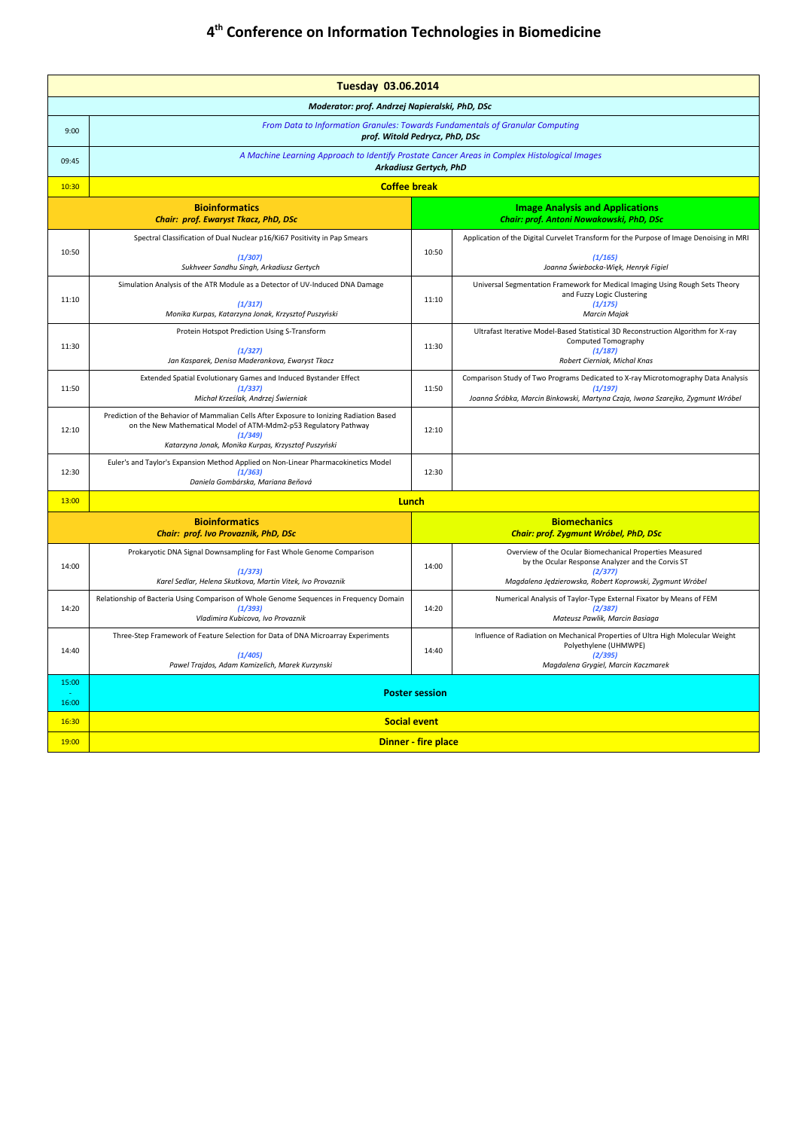## **4 th Conference on Information Technologies in Biomedicine**

| <b>Tuesday 03.06.2014</b>                      |                                                                                                                                                                                                                                |                                                                     |                                                                                                                                                                                      |  |  |  |
|------------------------------------------------|--------------------------------------------------------------------------------------------------------------------------------------------------------------------------------------------------------------------------------|---------------------------------------------------------------------|--------------------------------------------------------------------------------------------------------------------------------------------------------------------------------------|--|--|--|
| Moderator: prof. Andrzej Napieralski, PhD, DSc |                                                                                                                                                                                                                                |                                                                     |                                                                                                                                                                                      |  |  |  |
| 9:00                                           | From Data to Information Granules: Towards Fundamentals of Granular Computing<br>prof. Witold Pedrycz, PhD, DSc                                                                                                                |                                                                     |                                                                                                                                                                                      |  |  |  |
| 09:45                                          | A Machine Learning Approach to Identify Prostate Cancer Areas in Complex Histological Images<br>Arkadiusz Gertych, PhD                                                                                                         |                                                                     |                                                                                                                                                                                      |  |  |  |
| 10:30                                          | <b>Coffee break</b>                                                                                                                                                                                                            |                                                                     |                                                                                                                                                                                      |  |  |  |
|                                                | <b>Bioinformatics</b><br>Chair: prof. Ewaryst Tkacz, PhD, DSc                                                                                                                                                                  |                                                                     | <b>Image Analysis and Applications</b><br>Chair: prof. Antoni Nowakowski, PhD, DSc                                                                                                   |  |  |  |
| 10:50                                          | Spectral Classification of Dual Nuclear p16/Ki67 Positivity in Pap Smears<br>(1/307)<br>Sukhveer Sandhu Singh, Arkadiusz Gertych                                                                                               | 10:50                                                               | Application of the Digital Curvelet Transform for the Purpose of Image Denoising in MRI<br>(1/165)<br>Joanna Świebocka-Więk, Henryk Figiel                                           |  |  |  |
| 11:10                                          | Simulation Analysis of the ATR Module as a Detector of UV-Induced DNA Damage<br>(1/317)<br>Monika Kurpas, Katarzyna Jonak, Krzysztof Puszyński                                                                                 | 11:10                                                               | Universal Segmentation Framework for Medical Imaging Using Rough Sets Theory<br>and Fuzzy Logic Clustering<br>(1/175)<br><b>Marcin Majak</b>                                         |  |  |  |
| 11:30                                          | Protein Hotspot Prediction Using S-Transform<br>(1/327)<br>Jan Kasparek, Denisa Maderankova, Ewaryst Tkacz                                                                                                                     | 11:30                                                               | Ultrafast Iterative Model-Based Statistical 3D Reconstruction Algorithm for X-ray<br>Computed Tomography<br>(1/187)<br>Robert Cierniak, Michal Knas                                  |  |  |  |
| 11:50                                          | Extended Spatial Evolutionary Games and Induced Bystander Effect<br>(1/337)<br>Michał Krześlak, Andrzej Świerniak                                                                                                              | 11:50                                                               | Comparison Study of Two Programs Dedicated to X-ray Microtomography Data Analysis<br>(1/197)<br>Joanna Śróbka, Marcin Binkowski, Martyna Czaja, Iwona Szarejko, Zygmunt Wróbel       |  |  |  |
| 12:10                                          | Prediction of the Behavior of Mammalian Cells After Exposure to Ionizing Radiation Based<br>on the New Mathematical Model of ATM-Mdm2-p53 Regulatory Pathway<br>(1/349)<br>Katarzyna Jonak, Monika Kurpas, Krzysztof Puszyński | 12:10                                                               |                                                                                                                                                                                      |  |  |  |
| 12:30                                          | Euler's and Taylor's Expansion Method Applied on Non-Linear Pharmacokinetics Model<br>(1/363)<br>Daniela Gombárska, Mariana Beňová                                                                                             | 12:30                                                               |                                                                                                                                                                                      |  |  |  |
| 13:00                                          | <b>Lunch</b>                                                                                                                                                                                                                   |                                                                     |                                                                                                                                                                                      |  |  |  |
|                                                | <b>Bioinformatics</b><br>Chair: prof. Ivo Provaznik, PhD, DSc                                                                                                                                                                  | <b>Biomechanics</b><br><b>Chair: prof. Zygmunt Wróbel, PhD, DSc</b> |                                                                                                                                                                                      |  |  |  |
| 14:00                                          | Prokaryotic DNA Signal Downsampling for Fast Whole Genome Comparison<br>(1/373)<br>Karel Sedlar, Helena Skutkova, Martin Vitek, Ivo Provaznik                                                                                  | 14:00                                                               | Overview of the Ocular Biomechanical Properties Measured<br>by the Ocular Response Analyzer and the Corvis ST<br>(2/377)<br>Magdalena Jędzierowska, Robert Koprowski, Zygmunt Wróbel |  |  |  |
| 14:20                                          | Relationship of Bacteria Using Comparison of Whole Genome Sequences in Frequency Domain<br>(1/393)<br>Vladimira Kubicova, Ivo Provaznik                                                                                        | 14:20                                                               | Numerical Analysis of Taylor-Type External Fixator by Means of FEM<br>(2/387)<br>Mateusz Pawlik, Marcin Basiaga                                                                      |  |  |  |
| 14:40                                          | Three-Step Framework of Feature Selection for Data of DNA Microarray Experiments<br>(1/405)<br>Pawel Trajdos, Adam Kamizelich, Marek Kurzynski                                                                                 | 14:40                                                               | Influence of Radiation on Mechanical Properties of Ultra High Molecular Weight<br>Polyethylene (UHMWPE)<br>(2/395)<br>Magdalena Grygiel, Marcin Kaczmarek                            |  |  |  |
| 15:00                                          | <b>Poster session</b>                                                                                                                                                                                                          |                                                                     |                                                                                                                                                                                      |  |  |  |
| 16:00                                          |                                                                                                                                                                                                                                |                                                                     |                                                                                                                                                                                      |  |  |  |
| 16:30                                          | <b>Social event</b>                                                                                                                                                                                                            |                                                                     |                                                                                                                                                                                      |  |  |  |
| 19:00                                          | <b>Dinner - fire place</b>                                                                                                                                                                                                     |                                                                     |                                                                                                                                                                                      |  |  |  |